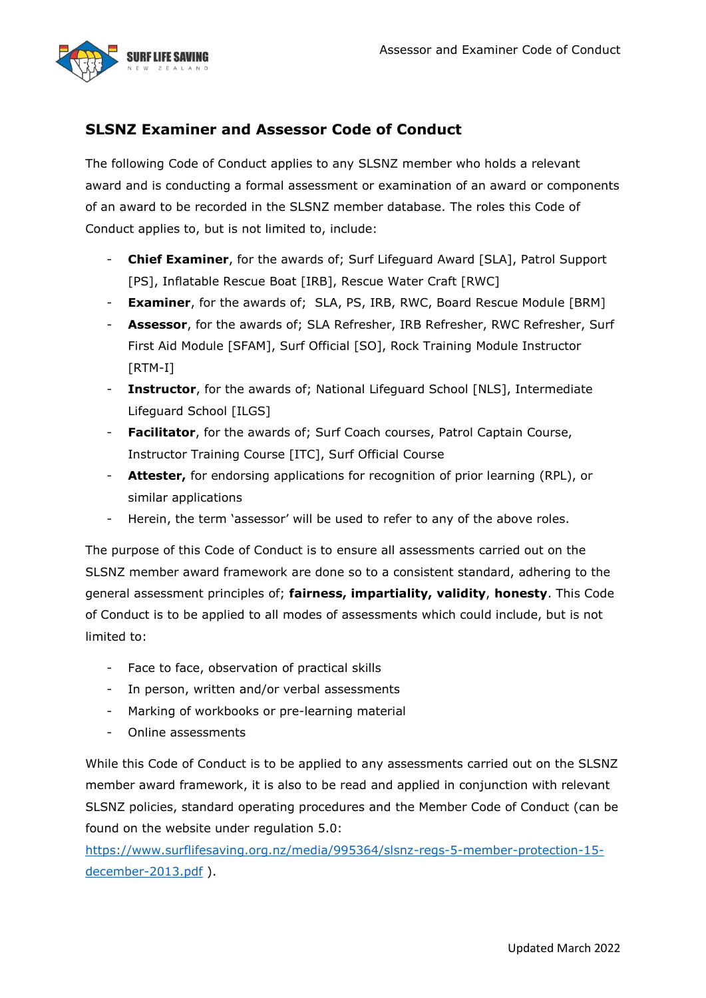

# **SLSNZ Examiner and Assessor Code of Conduct**

The following Code of Conduct applies to any SLSNZ member who holds a relevant award and is conducting a formal assessment or examination of an award or components of an award to be recorded in the SLSNZ member database. The roles this Code of Conduct applies to, but is not limited to, include:

- **Chief Examiner**, for the awards of; Surf Lifeguard Award [SLA], Patrol Support [PS], Inflatable Rescue Boat [IRB], Rescue Water Craft [RWC]
- **Examiner**, for the awards of; SLA, PS, IRB, RWC, Board Rescue Module [BRM]
- **Assessor**, for the awards of; SLA Refresher, IRB Refresher, RWC Refresher, Surf First Aid Module [SFAM], Surf Official [SO], Rock Training Module Instructor [RTM-I]
- **Instructor**, for the awards of; National Lifeguard School [NLS], Intermediate Lifeguard School [ILGS]
- **Facilitator**, for the awards of; Surf Coach courses, Patrol Captain Course, Instructor Training Course [ITC], Surf Official Course
- **Attester,** for endorsing applications for recognition of prior learning (RPL), or similar applications
- Herein, the term 'assessor' will be used to refer to any of the above roles.

The purpose of this Code of Conduct is to ensure all assessments carried out on the SLSNZ member award framework are done so to a consistent standard, adhering to the general assessment principles of; **fairness, impartiality, validity**, **honesty**. This Code of Conduct is to be applied to all modes of assessments which could include, but is not limited to:

- Face to face, observation of practical skills
- In person, written and/or verbal assessments
- Marking of workbooks or pre-learning material
- Online assessments

While this Code of Conduct is to be applied to any assessments carried out on the SLSNZ member award framework, it is also to be read and applied in conjunction with relevant SLSNZ policies, standard operating procedures and the Member Code of Conduct (can be found on the website under regulation 5.0:

[https://www.surflifesaving.org.nz/media/995364/slsnz-regs-5-member-protection-15](https://www.surflifesaving.org.nz/media/995364/slsnz-regs-5-member-protection-15-december-2013.pdf) [december-2013.pdf](https://www.surflifesaving.org.nz/media/995364/slsnz-regs-5-member-protection-15-december-2013.pdf) ).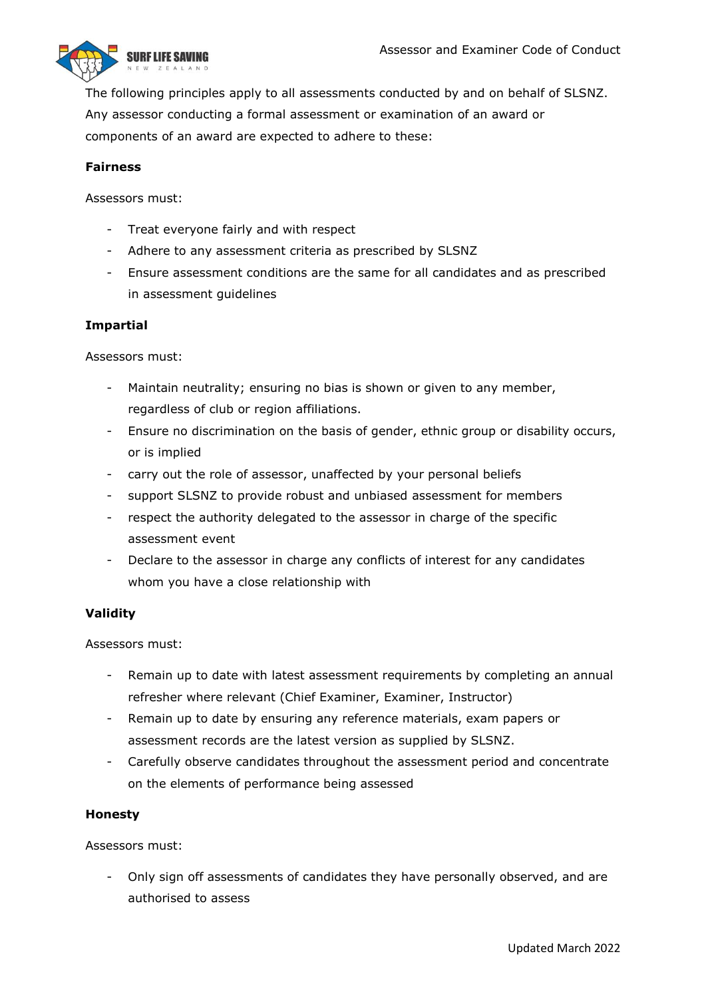

The following principles apply to all assessments conducted by and on behalf of SLSNZ. Any assessor conducting a formal assessment or examination of an award or components of an award are expected to adhere to these:

### **Fairness**

Assessors must:

- Treat everyone fairly and with respect
- Adhere to any assessment criteria as prescribed by SLSNZ
- Ensure assessment conditions are the same for all candidates and as prescribed in assessment guidelines

#### **Impartial**

Assessors must:

- Maintain neutrality; ensuring no bias is shown or given to any member, regardless of club or region affiliations.
- Ensure no discrimination on the basis of gender, ethnic group or disability occurs, or is implied
- carry out the role of assessor, unaffected by your personal beliefs
- support SLSNZ to provide robust and unbiased assessment for members
- respect the authority delegated to the assessor in charge of the specific assessment event
- Declare to the assessor in charge any conflicts of interest for any candidates whom you have a close relationship with

#### **Validity**

Assessors must:

- Remain up to date with latest assessment requirements by completing an annual refresher where relevant (Chief Examiner, Examiner, Instructor)
- Remain up to date by ensuring any reference materials, exam papers or assessment records are the latest version as supplied by SLSNZ.
- Carefully observe candidates throughout the assessment period and concentrate on the elements of performance being assessed

#### **Honesty**

Assessors must:

Only sign off assessments of candidates they have personally observed, and are authorised to assess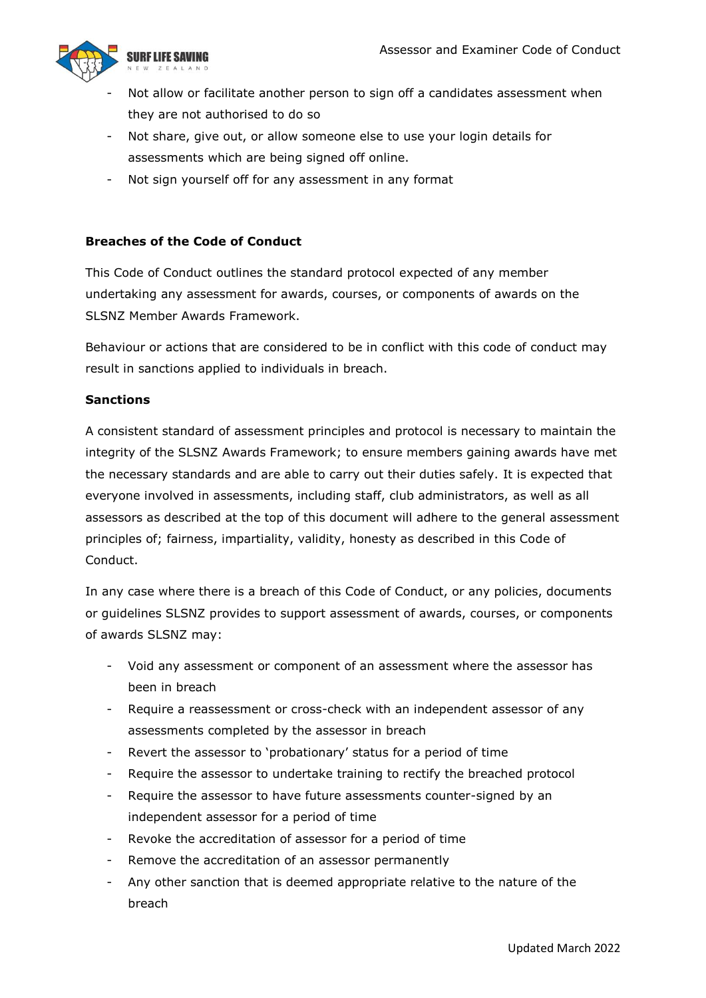

- Not allow or facilitate another person to sign off a candidates assessment when they are not authorised to do so
- Not share, give out, or allow someone else to use your login details for assessments which are being signed off online.
- Not sign yourself off for any assessment in any format

### **Breaches of the Code of Conduct**

This Code of Conduct outlines the standard protocol expected of any member undertaking any assessment for awards, courses, or components of awards on the SLSNZ Member Awards Framework.

Behaviour or actions that are considered to be in conflict with this code of conduct may result in sanctions applied to individuals in breach.

#### **Sanctions**

A consistent standard of assessment principles and protocol is necessary to maintain the integrity of the SLSNZ Awards Framework; to ensure members gaining awards have met the necessary standards and are able to carry out their duties safely. It is expected that everyone involved in assessments, including staff, club administrators, as well as all assessors as described at the top of this document will adhere to the general assessment principles of; fairness, impartiality, validity, honesty as described in this Code of Conduct.

In any case where there is a breach of this Code of Conduct, or any policies, documents or guidelines SLSNZ provides to support assessment of awards, courses, or components of awards SLSNZ may:

- Void any assessment or component of an assessment where the assessor has been in breach
- Require a reassessment or cross-check with an independent assessor of any assessments completed by the assessor in breach
- Revert the assessor to 'probationary' status for a period of time
- Require the assessor to undertake training to rectify the breached protocol
- Require the assessor to have future assessments counter-signed by an independent assessor for a period of time
- Revoke the accreditation of assessor for a period of time
- Remove the accreditation of an assessor permanently
- Any other sanction that is deemed appropriate relative to the nature of the breach